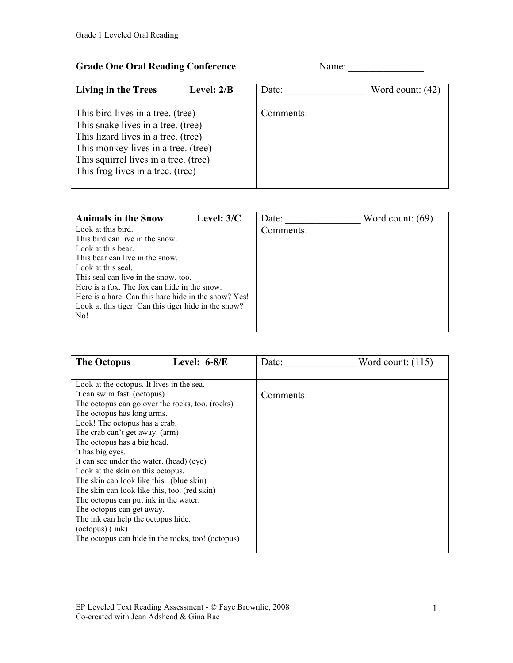## Grade One Oral Reading Conference Name: Name:

| <b>Living in the Trees</b>            | Level: $2/B$ | Date:     | Word count: $(42)$ |
|---------------------------------------|--------------|-----------|--------------------|
|                                       |              |           |                    |
| This bird lives in a tree. (tree)     |              | Comments: |                    |
| This snake lives in a tree. (tree)    |              |           |                    |
| This lizard lives in a tree. (tree)   |              |           |                    |
| This monkey lives in a tree. (tree)   |              |           |                    |
| This squirrel lives in a tree. (tree) |              |           |                    |
| This frog lives in a tree. (tree)     |              |           |                    |
|                                       |              |           |                    |

| <b>Animals in the Snow</b>                           | Level: $3/C$ | Date:     | Word count: $(69)$ |
|------------------------------------------------------|--------------|-----------|--------------------|
| Look at this bird.                                   |              | Comments: |                    |
| This bird can live in the snow.                      |              |           |                    |
| Look at this bear.                                   |              |           |                    |
| This bear can live in the snow.                      |              |           |                    |
| Look at this seal.                                   |              |           |                    |
| This seal can live in the snow, too.                 |              |           |                    |
| Here is a fox. The fox can hide in the snow.         |              |           |                    |
| Here is a hare. Can this hare hide in the snow? Yes! |              |           |                    |
| Look at this tiger. Can this tiger hide in the snow? |              |           |                    |
| No!                                                  |              |           |                    |
|                                                      |              |           |                    |

| <b>The Octopus</b><br>Level: $6-8/E$              | Date:<br>Word count: $(115)$ |
|---------------------------------------------------|------------------------------|
|                                                   |                              |
| Look at the octopus. It lives in the sea.         |                              |
| It can swim fast. (octopus)                       | Comments:                    |
| The octopus can go over the rocks, too. (rocks)   |                              |
| The octopus has long arms.                        |                              |
| Look! The octopus has a crab.                     |                              |
| The crab can't get away. (arm)                    |                              |
| The octopus has a big head.                       |                              |
| It has big eyes.                                  |                              |
| It can see under the water. (head) (eye)          |                              |
| Look at the skin on this octopus.                 |                              |
| The skin can look like this. (blue skin)          |                              |
| The skin can look like this, too. (red skin)      |                              |
| The octopus can put ink in the water.             |                              |
| The octopus can get away.                         |                              |
| The ink can help the octopus hide.                |                              |
| $(octopus)$ (ink)                                 |                              |
| The octopus can hide in the rocks, too! (octopus) |                              |